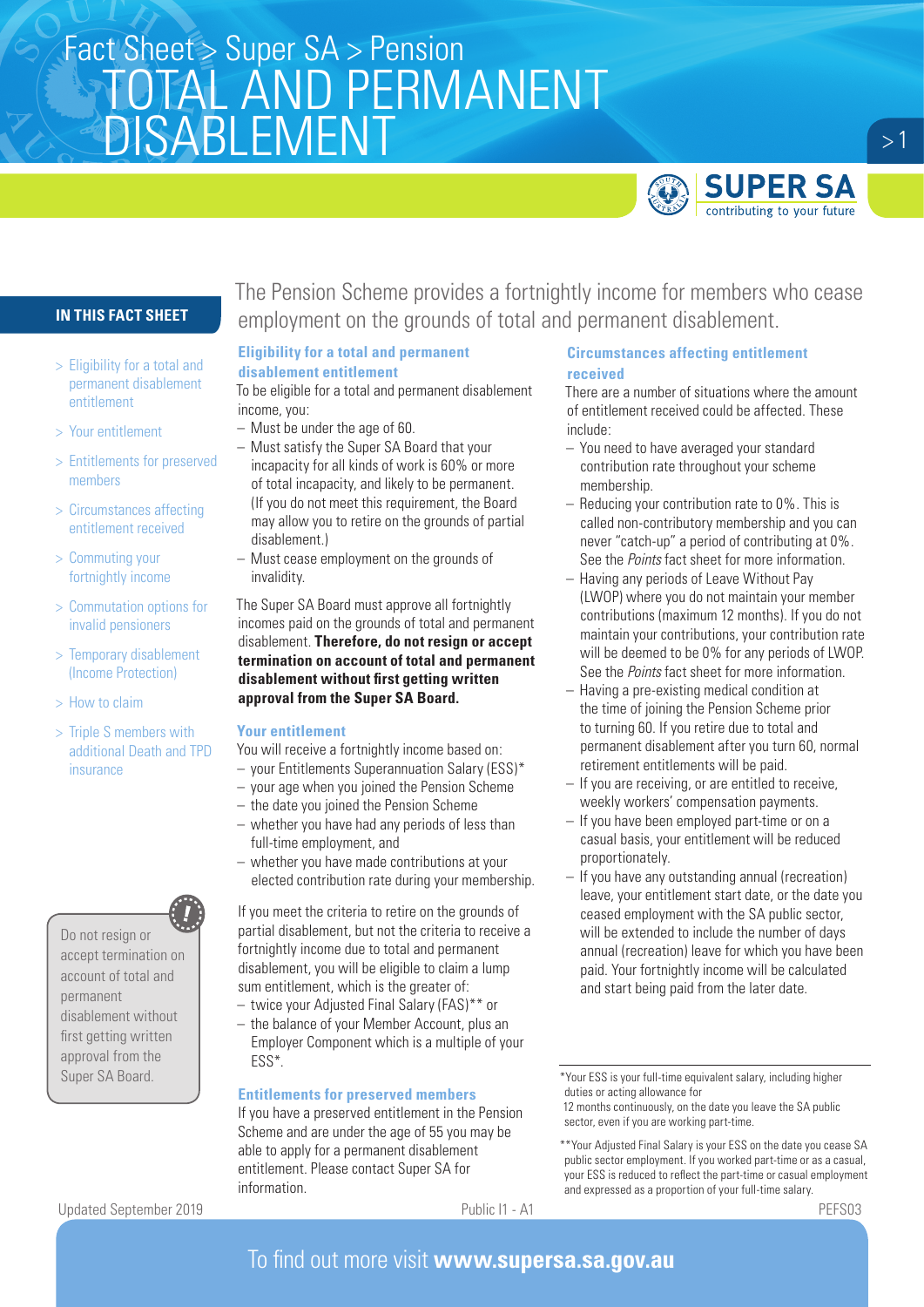# Fact Sheet > Super SA > Pension<br>
TOTAL AND DEDMANNENT TOTAL AND PERMANENT DISABLEMENT



 $>1$ 

## **IN THIS FACT SHEET**

- > Eligibility for a total and permanent disablement entitlement
- > Your entitlement
- > Entitlements for preserved members
- > Circumstances affecting entitlement received
- > Commuting your fortnightly income
- > Commutation options for invalid pensioners
- > Temporary disablement (Income Protection)
- > How to claim
- > Triple S members with additional Death and TPD insurance

Do not resign or accept termination on account of total and permanent disablement without first getting written approval from the Super SA Board.

Updated September 2019 Public I1 - A1 PEFS03

The Pension Scheme provides a fortnightly income for members who cease employment on the grounds of total and permanent disablement.

# **Eligibility for a total and permanent**

### **disablement entitlement**

To be eligible for a total and permanent disablement income, you:

- Must be under the age of 60.
- Must satisfy the Super SA Board that your incapacity for all kinds of work is 60% or more of total incapacity, and likely to be permanent. (If you do not meet this requirement, the Board may allow you to retire on the grounds of partial disablement.)
- Must cease employment on the grounds of invalidity.

The Super SA Board must approve all fortnightly incomes paid on the grounds of total and permanent disablement. **Therefore, do not resign or accept termination on account of total and permanent disablement without first getting written approval from the Super SA Board.**

### **Your entitlement**

You will receive a fortnightly income based on:

- your Entitlements Superannuation Salary (ESS)\*
- your age when you joined the Pension Scheme
- the date you joined the Pension Scheme
- whether you have had any periods of less than full-time employment, and
- whether you have made contributions at your elected contribution rate during your membership.

If you meet the criteria to retire on the grounds of partial disablement, but not the criteria to receive a fortnightly income due to total and permanent disablement, you will be eligible to claim a lump sum entitlement, which is the greater of:

- twice your Adjusted Final Salary (FAS)\*\* or
- the balance of your Member Account, plus an Employer Component which is a multiple of your ESS\*.

### **Entitlements for preserved members**

If you have a preserved entitlement in the Pension Scheme and are under the age of 55 you may be able to apply for a permanent disablement entitlement. Please contact Super SA for information.

### **Circumstances affecting entitlement received**

There are a number of situations where the amount of entitlement received could be affected. These include:

- You need to have averaged your standard contribution rate throughout your scheme membership.
- Reducing your contribution rate to 0%. This is called non-contributory membership and you can never "catch-up" a period of contributing at 0%. See the *Points* fact sheet for more information.
- Having any periods of Leave Without Pay (LWOP) where you do not maintain your member contributions (maximum 12 months). If you do not maintain your contributions, your contribution rate will be deemed to be 0% for any periods of LWOP. See the *Points* fact sheet for more information.
- Having a pre-existing medical condition at the time of joining the Pension Scheme prior to turning 60. If you retire due to total and permanent disablement after you turn 60, normal retirement entitlements will be paid.
- If you are receiving, or are entitled to receive, weekly workers' compensation payments.
- If you have been employed part-time or on a casual basis, your entitlement will be reduced proportionately.
- If you have any outstanding annual (recreation) leave, your entitlement start date, or the date you ceased employment with the SA public sector, will be extended to include the number of days annual (recreation) leave for which you have been paid. Your fortnightly income will be calculated and start being paid from the later date.

## To find out more visit **www.supersa.sa.gov.au**

<sup>\*</sup>Your ESS is your full-time equivalent salary, including higher duties or acting allowance for

<sup>12</sup> months continuously, on the date you leave the SA public sector, even if you are working part-time.

<sup>\*\*</sup>Your Adjusted Final Salary is your ESS on the date you cease SA public sector employment. If you worked part-time or as a casual, your ESS is reduced to reflect the part-time or casual employment and expressed as a proportion of your full-time salary.